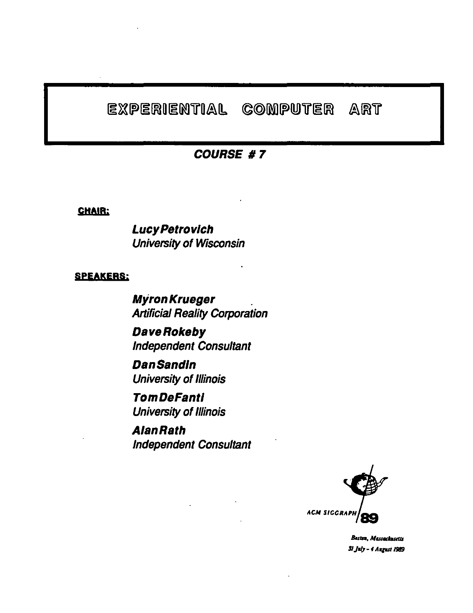#### EXPERIENTIAL COMPUTER ART

### COURSE #7

CHAIR;

Lucy Petrovich University of Wisconsin

#### SPEAKERS;

Myron Krueger . Artificial Reality Corporation

DaveRokeby Independent Consultant

Dan Sandin University of Illinois

**TomDeFanti** University of Illinois

**AlanRath** Independent Consultant



Besten, Massachusetts 31 July - 4 August 1989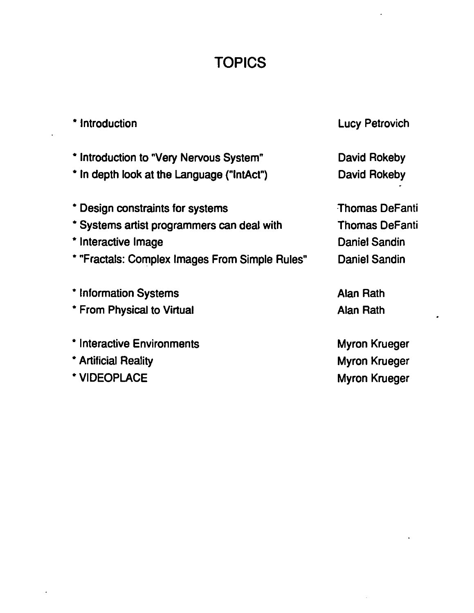## **TOPICS**

 $\overline{\phantom{a}}$ 

 $\bullet$ 

 $\bar{z}$ 

| * Introduction                                 | <b>Lucy Petrovich</b> |
|------------------------------------------------|-----------------------|
| * Introduction to "Very Nervous System"        | David Rokeby          |
| * In depth look at the Language ("IntAct")     | David Rokeby          |
| * Design constraints for systems               | <b>Thomas DeFanti</b> |
| * Systems artist programmers can deal with     | <b>Thomas DeFanti</b> |
| * Interactive Image                            | Daniel Sandin         |
| * "Fractals: Complex Images From Simple Rules" | Daniel Sandin         |
| * Information Systems                          | Alan Rath             |
| * From Physical to Virtual                     | Alan Rath             |
| * Interactive Environments                     | Myron Krueger         |
| * Artificial Reality                           | Myron Krueger         |
| * VIDEOPLACE                                   | Myron Krueger         |

 $\ddot{\phantom{0}}$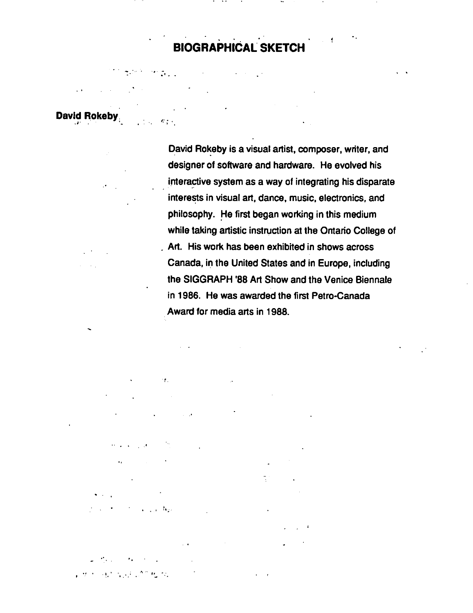## **BIOGRAPHiCAL SKETCH**

-·  $^{\prime\prime}$  : . . . and the company . ' **David Rokeby.** 

 $\sigma_{\rm 100}$ 

David Rokeby is a visual artist, composer, writer, and designer of software and hardware. He evolved his interactive system as a way of integrating his disparate interests in visual art, dance, music, electronics, and philosophy. He first began working in this medium while taking artistic instruction at the Ontario College of . Art. His work has been exhibited in shows across Canada, in the United States and in Europe, including the SIGGRAPH '88 Art Show and the Venice Biennale in 1986. He was awarded the first Petro-Canada Award for media arts in 1988.

, .

 $\mathcal{L}_{\text{max}}$ !. . ' . . . . . ..... " *1' ...* • *:.* 

• ' t .. ~ .

.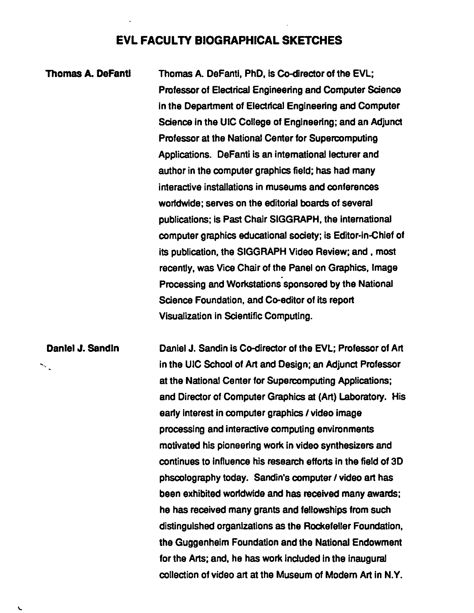#### EVL FACULTY BIOGRAPHICAL SKETCHES

Thomas A. Defantl Thomas A. Defantl, PhD, Is Co-director of the EVL; Professor of Electrical Engineering and Computer Science In the Department of Electrical Engineering and Computer Science in the UIC College of Engineering; and an Adjunct Professor at the National Center for Supercomputing Applications. DeFanti is an international lecturer and author in the computer graphics field; has had many interactive installations in museums and conferences worldwide; serves on the editorial boards of several publications; Is Past Chair SIGGRAPH, the international computer graphics educational society; is Editor-in-Chief of its publication, the SIGGRAPH Video Review; and , most recently, was Vice Chair of the Panel on Graphics, Image Processing and Workstations sponsored by the National Science Foundation, and Co-editor of its report Visualization in Scientific Computing.

Daniel J. Sandin Daniel J. Sandin is Co-director of the EVL; Professor of Art in the UIC School of Art and Design; an Adjunct Professor  $\mathcal{L}_{\mathcal{L}}$ at the National Center for Supercomputing Applications; and Director of Computer Graphics at (Art) Laboratory. His early interest in computer graphics / video image processing and interactive computing environments motivated his pioneering work in video synthesizers and continues to Influence his research efforts in the field of 3D phscolography today. Sandin's computer I video art has been exhibited worldwide and has received many awards; he has received many grants and fellowships from such distinguished organizations as the Rockefeller Foundation, the Guggenheim Foundation and the National Endowment for the Arts; and, he has work included in the inaugural collection of video art at the Museum of Modem Art in N.Y.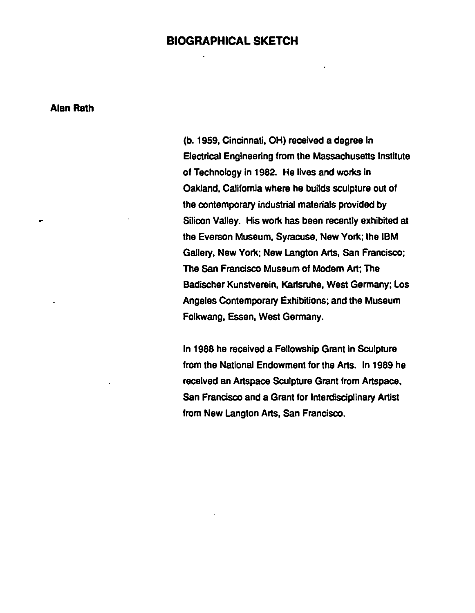#### **BIOGRAPHICAL SKETCH**

**Alan Rath** 

(b. 1959, Cincinnati, OH) received a degree In Electrical Engineering from the Massachusetts Institute of Technology in 1982. He lives and works in Oakland, California where he builds sculpture out of the contemporary industrial materials provided by Silicon Valley. His work has been recently exhibited at the Everson Museum, Syracuse, New York; the IBM Gallery, New York; New Langton Arts, San Francisco; The San Francisco Museum of Modem Art; The Badlscher Kunstvereln, Karlsruhe, West Germany; Los Angeles Contemporary Exhibitions; and the Museum Folkwang, Essen, West Germany.

In 1988 he received a Fellowship Grant in Sculpture from the National Endowment for the Arts. In 1989 he received an Artspace Sculpture Grant from Artspace, San Francisco and a Grant for Interdisciplinary Artist from New Langton Arts, San Francisco.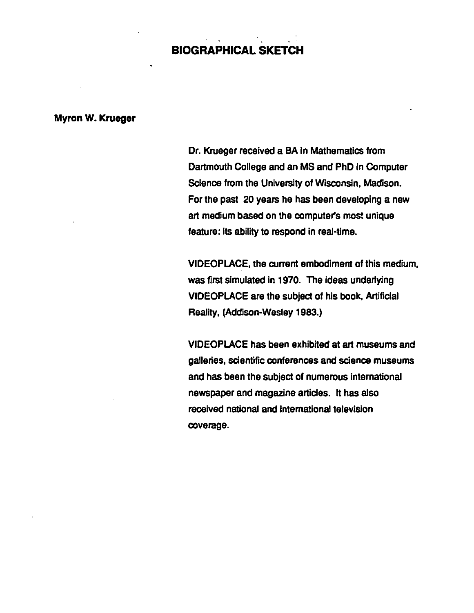## BIOGRAPHICAL SKETCH

#### Myron W. Krueger

Dr. Krueger received a BA In Mathematics from Dartmouth College and an MS and PhD in Computer Science from the University of Wisconsin, Madison. For the past 20 years he has been developing a new art medium based on the computer's most unique feature: Its ability to respond in real·tlme.

VIDEOPLACE, the current embodiment of this medium, was first simulated in 1970. The ideas underlying VIDEOPLACE are the subject of his book, Artificial Reality, (Addison-Wesley 1983.)

VIDEOPLACE has been exhibited at art museums and galleries, scientific conferences and science museums and has been the subject of numerous International newspaper and magazine articles. It has also received national and international television coverage.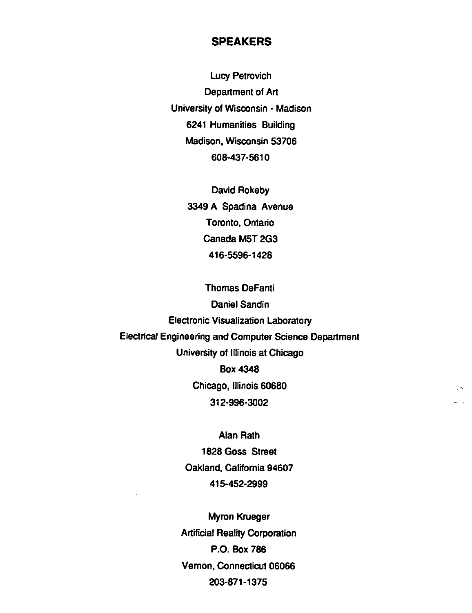### **SPEAKERS**

Lucy Petrovich Department of Art University of Wisconsin - Madison 6241 Humanities Building Madison, Wisconsin 53706 608-437-5610

> David Rokeby 3349 A Spadina Avenue Toronto, Ontario Canada M5T 2G3 416-5596-1428

Thomas DeFanti Daniel Sandin Electronic Visualization Laboratory Electrical Engineering and Computer Science Department University of Illinois at Chicago Box 4348 Chicago, Illinois 60680 312-996-3002

> Alan Rath 1828 Goss Street Oakland, California 94607 415-452-2999

Myron Krueger Artificial Reality Corporation P.O. Box 786 Vernon, Connecticut 06066 203-871-1375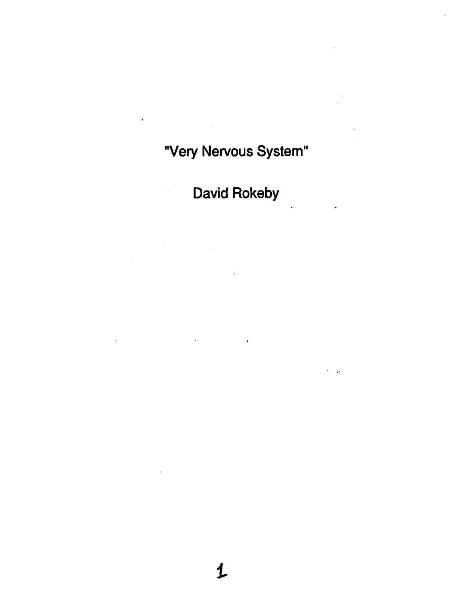# "Very Nervous System"

 $\hat{\mathbf{r}}$ 

 $\mathcal{L}_{\text{in}}$ 

David Rokeby

 $\mathcal{L}_{\mathcal{A}}$ 

 $\mathcal{L}(\mathcal{L})$  and  $\mathcal{L}(\mathcal{L})$  . The set of  $\mathcal{L}(\mathcal{L})$